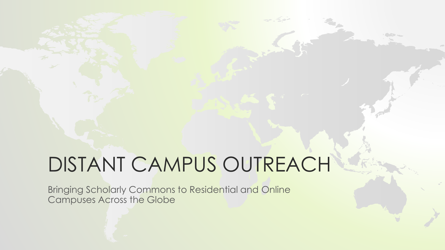# DISTANT CAMPUS OUTREACH

Bringing Scholarly Commons to Residential and Online Campuses Across the Globe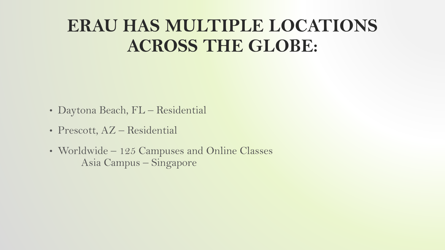# **ERAU HAS MULTIPLE LOCATIONS ACROSS THE GLOBE:**

- Daytona Beach, FL Residential
- Prescott, AZ Residential
- Worldwide 125 Campuses and Online Classes Asia Campus – Singapore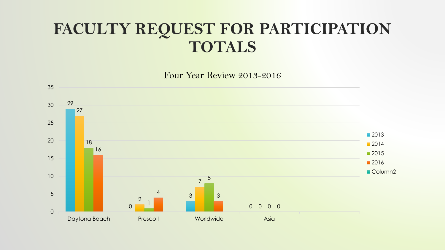# **FACULTY REQUEST FOR PARTICIPATION TOTALS**

Four Year Review 2013-2016

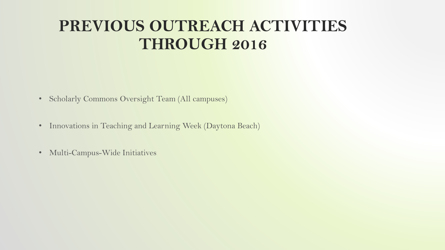## **PREVIOUS OUTREACH ACTIVITIES THROUGH 2016**

- Scholarly Commons Oversight Team (All campuses)
- Innovations in Teaching and Learning Week (Daytona Beach)
- Multi-Campus-Wide Initiatives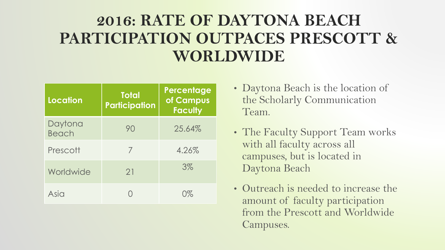# **2016: RATE OF DAYTONA BEACH PARTICIPATION OUTPACES PRESCOTT & WORLDWIDE**

| <b>Location</b>  | <b>Total</b><br><b>Participation</b> | Percentage<br>of Campus<br><b>Faculty</b> |
|------------------|--------------------------------------|-------------------------------------------|
| Daytona<br>Beach | 90                                   | 25.64%                                    |
| Prescott         | 7                                    | 4.26%                                     |
| Worldwide        | 21                                   | $3\%$                                     |
| Asia             |                                      | $\bigcap_{\alpha}$                        |

- Daytona Beach is the location of the Scholarly Communication Team.
- The Faculty Support Team works with all faculty across all campuses, but is located in Daytona Beach
- Outreach is needed to increase the amount of faculty participation from the Prescott and Worldwide Campuses.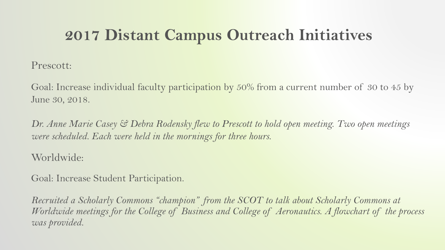# **2017 Distant Campus Outreach Initiatives**

Prescott:

Goal: Increase individual faculty participation by 50% from a current number of 30 to 45 by June 30, 2018.

*Dr. Anne Marie Casey & Debra Rodensky flew to Prescott to hold open meeting. Two open meetings were scheduled. Each were held in the mornings for three hours.* 

#### Worldwide:

Goal: Increase Student Participation.

*Recruited a Scholarly Commons "champion" from the SCOT to talk about Scholarly Commons at Worldwide meetings for the College of Business and College of Aeronautics. A flowchart of the process was provided.*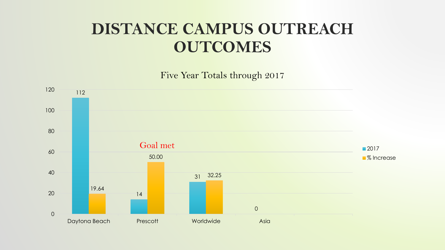### **DISTANCE CAMPUS OUTREACH OUTCOMES**

Five Year Totals through 2017

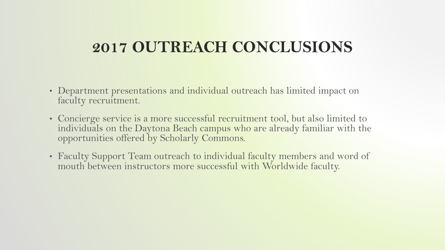### **2017 OUTREACH CONCLUSIONS**

- Department presentations and individual outreach has limited impact on faculty recruitment.
- Concierge service is a more successful recruitment tool, but also limited to individuals on the Daytona Beach campus who are already familiar with the opportunities offered by Scholarly Commons.
- Faculty Support Team outreach to individual faculty members and word of mouth between instructors more successful with Worldwide faculty.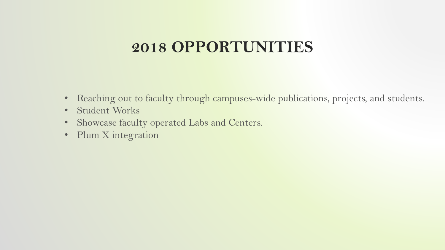### **2018 OPPORTUNITIES**

- Reaching out to faculty through campuses-wide publications, projects, and students.
- Student Works
- Showcase faculty operated Labs and Centers.
- Plum X integration